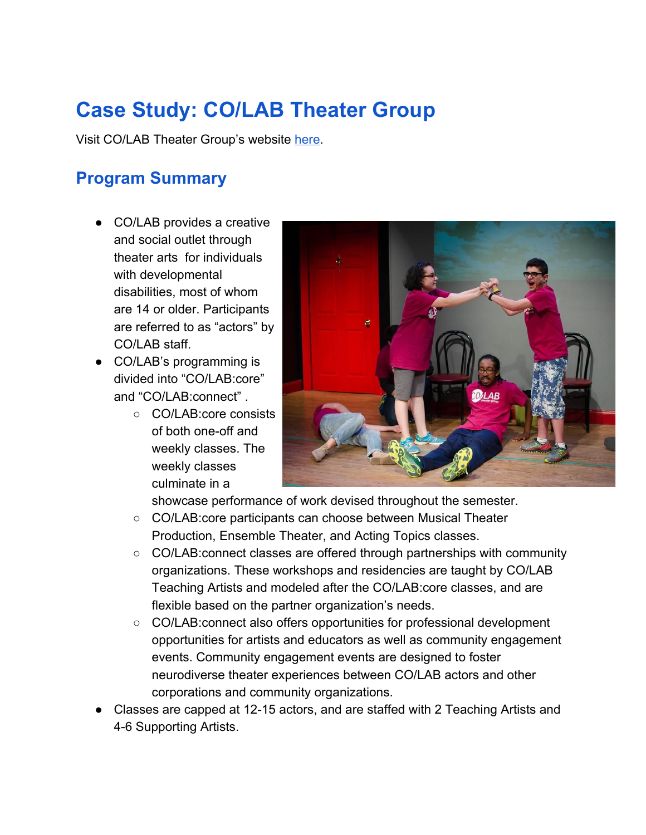# **Case Study: CO/LAB Theater Group**

Visit CO/LAB Theater Group's website [here.](http://www.colabtheatergroup.com/)

## **Program Summary**

- CO/LAB provides a creative and social outlet through theater arts for individuals with developmental disabilities, most of whom are 14 or older. Participants are referred to as "actors" by CO/LAB staff.
- CO/LAB's programming is divided into "CO/LAB:core" and "CO/LAB:connect" .
	- CO/LAB:core consists of both one-off and weekly classes. The weekly classes culminate in a



showcase performance of work devised throughout the semester.

- CO/LAB:core participants can choose between Musical Theater Production, Ensemble Theater, and Acting Topics classes.
- CO/LAB: connect classes are offered through partnerships with community organizations. These workshops and residencies are taught by CO/LAB Teaching Artists and modeled after the CO/LAB:core classes, and are flexible based on the partner organization's needs.
- CO/LAB: connect also offers opportunities for professional development opportunities for artists and educators as well as community engagement events. Community engagement events are designed to foster neurodiverse theater experiences between CO/LAB actors and other corporations and community organizations.
- Classes are capped at 12-15 actors, and are staffed with 2 Teaching Artists and 4-6 Supporting Artists.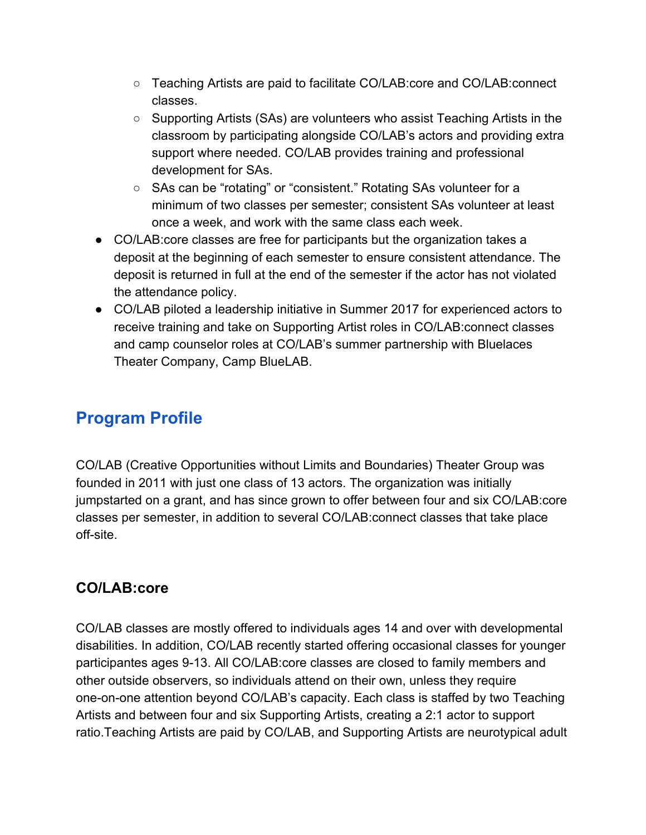- Teaching Artists are paid to facilitate CO/LAB:core and CO/LAB:connect classes.
- Supporting Artists (SAs) are volunteers who assist Teaching Artists in the classroom by participating alongside CO/LAB's actors and providing extra support where needed. CO/LAB provides training and professional development for SAs.
- SAs can be "rotating" or "consistent." Rotating SAs volunteer for a minimum of two classes per semester; consistent SAs volunteer at least once a week, and work with the same class each week.
- CO/LAB:core classes are free for participants but the organization takes a deposit at the beginning of each semester to ensure consistent attendance. The deposit is returned in full at the end of the semester if the actor has not violated the attendance policy.
- CO/LAB piloted a leadership initiative in Summer 2017 for experienced actors to receive training and take on Supporting Artist roles in CO/LAB:connect classes and camp counselor roles at CO/LAB's summer partnership with Bluelaces Theater Company, Camp BlueLAB.

# **Program Profile**

CO/LAB (Creative Opportunities without Limits and Boundaries) Theater Group was founded in 2011 with just one class of 13 actors. The organization was initially jumpstarted on a grant, and has since grown to offer between four and six CO/LAB:core classes per semester, in addition to several CO/LAB:connect classes that take place off-site.

### **CO/LAB:core**

CO/LAB classes are mostly offered to individuals ages 14 and over with developmental disabilities. In addition, CO/LAB recently started offering occasional classes for younger participantes ages 9-13. All CO/LAB:core classes are closed to family members and other outside observers, so individuals attend on their own, unless they require one-on-one attention beyond CO/LAB's capacity. Each class is staffed by two Teaching Artists and between four and six Supporting Artists, creating a 2:1 actor to support ratio.Teaching Artists are paid by CO/LAB, and Supporting Artists are neurotypical adult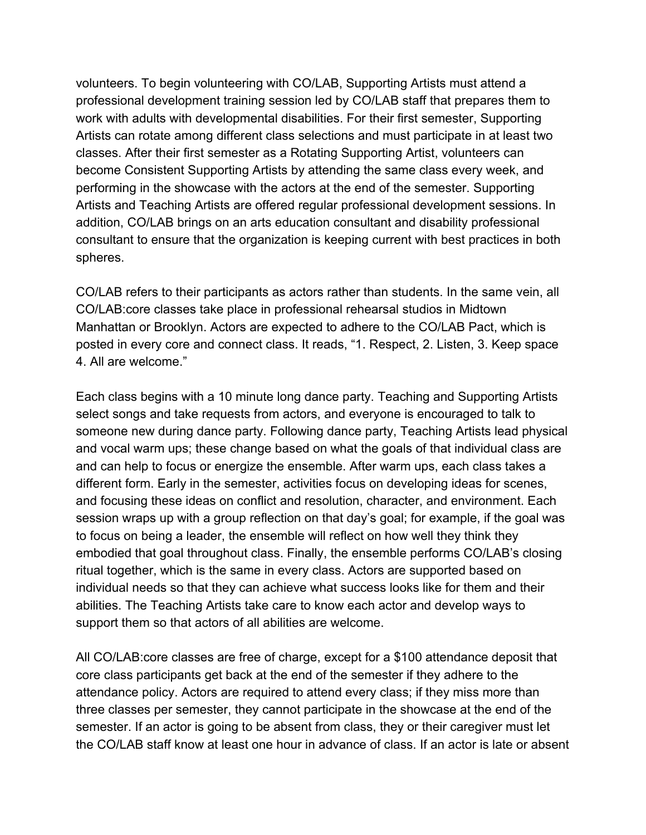volunteers. To begin volunteering with CO/LAB, Supporting Artists must attend a professional development training session led by CO/LAB staff that prepares them to work with adults with developmental disabilities. For their first semester, Supporting Artists can rotate among different class selections and must participate in at least two classes. After their first semester as a Rotating Supporting Artist, volunteers can become Consistent Supporting Artists by attending the same class every week, and performing in the showcase with the actors at the end of the semester. Supporting Artists and Teaching Artists are offered regular professional development sessions. In addition, CO/LAB brings on an arts education consultant and disability professional consultant to ensure that the organization is keeping current with best practices in both spheres.

CO/LAB refers to their participants as actors rather than students. In the same vein, all CO/LAB:core classes take place in professional rehearsal studios in Midtown Manhattan or Brooklyn. Actors are expected to adhere to the CO/LAB Pact, which is posted in every core and connect class. It reads, "1. Respect, 2. Listen, 3. Keep space 4. All are welcome."

Each class begins with a 10 minute long dance party. Teaching and Supporting Artists select songs and take requests from actors, and everyone is encouraged to talk to someone new during dance party. Following dance party, Teaching Artists lead physical and vocal warm ups; these change based on what the goals of that individual class are and can help to focus or energize the ensemble. After warm ups, each class takes a different form. Early in the semester, activities focus on developing ideas for scenes, and focusing these ideas on conflict and resolution, character, and environment. Each session wraps up with a group reflection on that day's goal; for example, if the goal was to focus on being a leader, the ensemble will reflect on how well they think they embodied that goal throughout class. Finally, the ensemble performs CO/LAB's closing ritual together, which is the same in every class. Actors are supported based on individual needs so that they can achieve what success looks like for them and their abilities. The Teaching Artists take care to know each actor and develop ways to support them so that actors of all abilities are welcome.

All CO/LAB:core classes are free of charge, except for a \$100 attendance deposit that core class participants get back at the end of the semester if they adhere to the attendance policy. Actors are required to attend every class; if they miss more than three classes per semester, they cannot participate in the showcase at the end of the semester. If an actor is going to be absent from class, they or their caregiver must let the CO/LAB staff know at least one hour in advance of class. If an actor is late or absent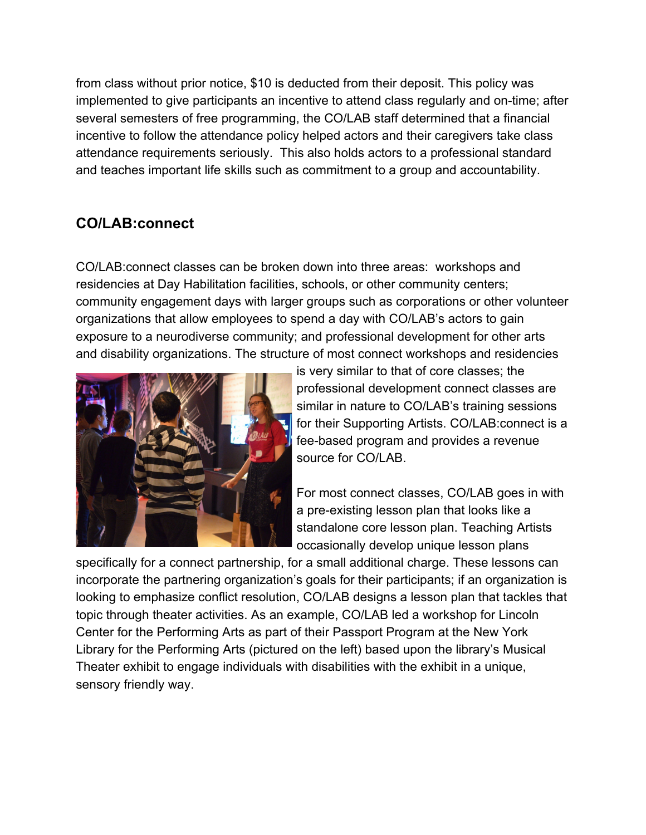from class without prior notice, \$10 is deducted from their deposit. This policy was implemented to give participants an incentive to attend class regularly and on-time; after several semesters of free programming, the CO/LAB staff determined that a financial incentive to follow the attendance policy helped actors and their caregivers take class attendance requirements seriously. This also holds actors to a professional standard and teaches important life skills such as commitment to a group and accountability.

#### **CO/LAB:connect**

CO/LAB:connect classes can be broken down into three areas: workshops and residencies at Day Habilitation facilities, schools, or other community centers; community engagement days with larger groups such as corporations or other volunteer organizations that allow employees to spend a day with CO/LAB's actors to gain exposure to a neurodiverse community; and professional development for other arts and disability organizations. The structure of most connect workshops and residencies



is very similar to that of core classes; the professional development connect classes are similar in nature to CO/LAB's training sessions for their Supporting Artists. CO/LAB:connect is a fee-based program and provides a revenue source for CO/LAB.

For most connect classes, CO/LAB goes in with a pre-existing lesson plan that looks like a standalone core lesson plan. Teaching Artists occasionally develop unique lesson plans

specifically for a connect partnership, for a small additional charge. These lessons can incorporate the partnering organization's goals for their participants; if an organization is looking to emphasize conflict resolution, CO/LAB designs a lesson plan that tackles that topic through theater activities. As an example, CO/LAB led a workshop for Lincoln Center for the Performing Arts as part of their Passport Program at the New York Library for the Performing Arts (pictured on the left) based upon the library's Musical Theater exhibit to engage individuals with disabilities with the exhibit in a unique, sensory friendly way.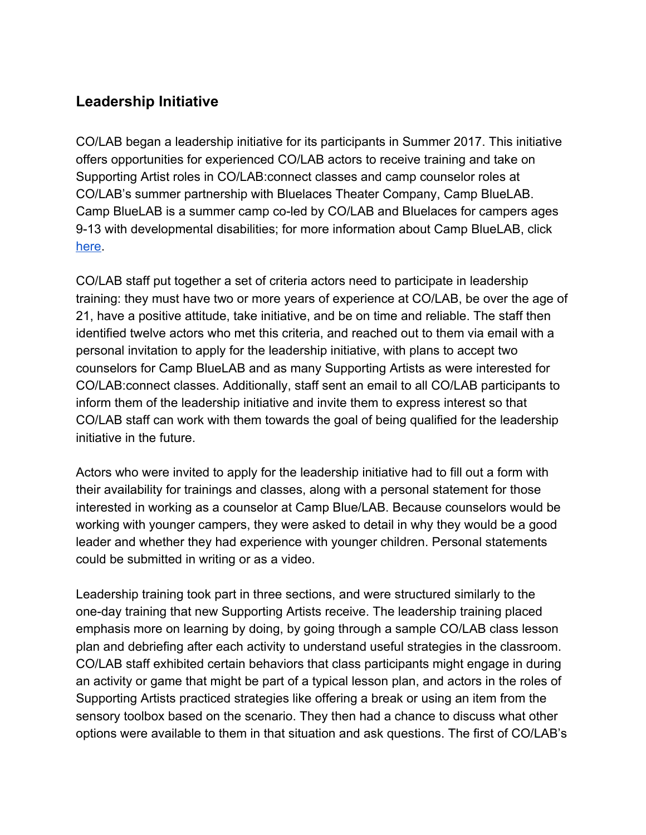#### **Leadership Initiative**

CO/LAB began a leadership initiative for its participants in Summer 2017. This initiative offers opportunities for experienced CO/LAB actors to receive training and take on Supporting Artist roles in CO/LAB:connect classes and camp counselor roles at CO/LAB's summer partnership with Bluelaces Theater Company, Camp BlueLAB. Camp BlueLAB is a summer camp co-led by CO/LAB and Bluelaces for campers ages 9-13 with developmental disabilities; for more information about Camp BlueLAB, click [here](http://www.colabtheatergroup.com/bluelab/).

CO/LAB staff put together a set of criteria actors need to participate in leadership training: they must have two or more years of experience at CO/LAB, be over the age of 21, have a positive attitude, take initiative, and be on time and reliable. The staff then identified twelve actors who met this criteria, and reached out to them via email with a personal invitation to apply for the leadership initiative, with plans to accept two counselors for Camp BlueLAB and as many Supporting Artists as were interested for CO/LAB:connect classes. Additionally, staff sent an email to all CO/LAB participants to inform them of the leadership initiative and invite them to express interest so that CO/LAB staff can work with them towards the goal of being qualified for the leadership initiative in the future.

Actors who were invited to apply for the leadership initiative had to fill out a form with their availability for trainings and classes, along with a personal statement for those interested in working as a counselor at Camp Blue/LAB. Because counselors would be working with younger campers, they were asked to detail in why they would be a good leader and whether they had experience with younger children. Personal statements could be submitted in writing or as a video.

Leadership training took part in three sections, and were structured similarly to the one-day training that new Supporting Artists receive. The leadership training placed emphasis more on learning by doing, by going through a sample CO/LAB class lesson plan and debriefing after each activity to understand useful strategies in the classroom. CO/LAB staff exhibited certain behaviors that class participants might engage in during an activity or game that might be part of a typical lesson plan, and actors in the roles of Supporting Artists practiced strategies like offering a break or using an item from the sensory toolbox based on the scenario. They then had a chance to discuss what other options were available to them in that situation and ask questions. The first of CO/LAB's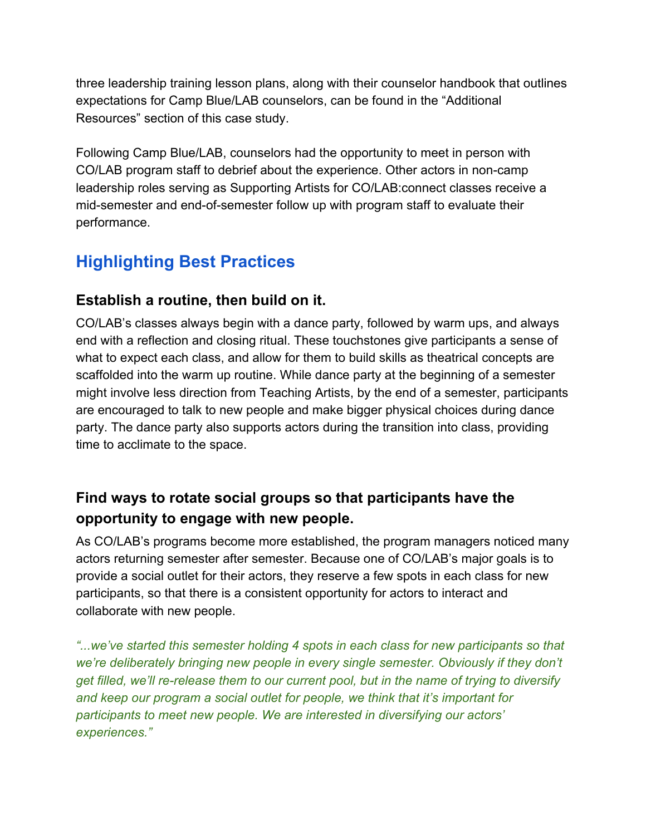three leadership training lesson plans, along with their counselor handbook that outlines expectations for Camp Blue/LAB counselors, can be found in the "Additional Resources" section of this case study.

Following Camp Blue/LAB, counselors had the opportunity to meet in person with CO/LAB program staff to debrief about the experience. Other actors in non-camp leadership roles serving as Supporting Artists for CO/LAB:connect classes receive a mid-semester and end-of-semester follow up with program staff to evaluate their performance.

# **Highlighting Best Practices**

#### **Establish a routine, then build on it.**

CO/LAB's classes always begin with a dance party, followed by warm ups, and always end with a reflection and closing ritual. These touchstones give participants a sense of what to expect each class, and allow for them to build skills as theatrical concepts are scaffolded into the warm up routine. While dance party at the beginning of a semester might involve less direction from Teaching Artists, by the end of a semester, participants are encouraged to talk to new people and make bigger physical choices during dance party. The dance party also supports actors during the transition into class, providing time to acclimate to the space.

### **Find ways to rotate social groups so that participants have the opportunity to engage with new people.**

As CO/LAB's programs become more established, the program managers noticed many actors returning semester after semester. Because one of CO/LAB's major goals is to provide a social outlet for their actors, they reserve a few spots in each class for new participants, so that there is a consistent opportunity for actors to interact and collaborate with new people.

*"...we've started this semester holding 4 spots in each class for new participants so that we're deliberately bringing new people in every single semester. Obviously if they don't get filled, we'll re-release them to our current pool, but in the name of trying to diversify and keep our program a social outlet for people, we think that it's important for participants to meet new people. We are interested in diversifying our actors' experiences."*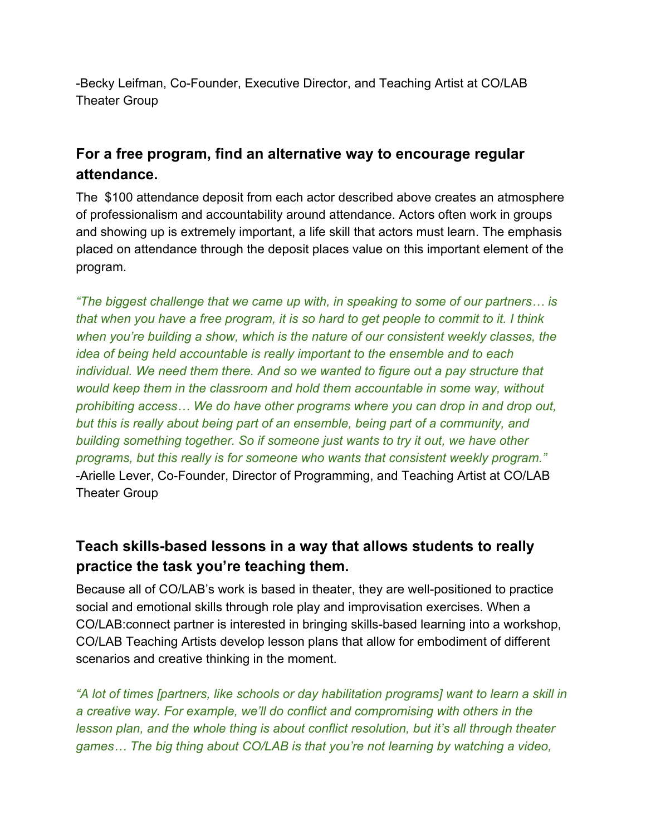-Becky Leifman, Co-Founder, Executive Director, and Teaching Artist at CO/LAB Theater Group

#### **For a free program, find an alternative way to encourage regular attendance.**

The \$100 attendance deposit from each actor described above creates an atmosphere of professionalism and accountability around attendance. Actors often work in groups and showing up is extremely important, a life skill that actors must learn. The emphasis placed on attendance through the deposit places value on this important element of the program.

*"The biggest challenge that we came up with, in speaking to some of our partners… is that when you have a free program, it is so hard to get people to commit to it. I think when you're building a show, which is the nature of our consistent weekly classes, the idea of being held accountable is really important to the ensemble and to each individual. We need them there. And so we wanted to figure out a pay structure that would keep them in the classroom and hold them accountable in some way, without prohibiting access… We do have other programs where you can drop in and drop out, but this is really about being part of an ensemble, being part of a community, and building something together. So if someone just wants to try it out, we have other programs, but this really is for someone who wants that consistent weekly program."* -Arielle Lever, Co-Founder, Director of Programming, and Teaching Artist at CO/LAB Theater Group

### **Teach skills-based lessons in a way that allows students to really practice the task you're teaching them.**

Because all of CO/LAB's work is based in theater, they are well-positioned to practice social and emotional skills through role play and improvisation exercises. When a CO/LAB:connect partner is interested in bringing skills-based learning into a workshop, CO/LAB Teaching Artists develop lesson plans that allow for embodiment of different scenarios and creative thinking in the moment.

*"A lot of times [partners, like schools or day habilitation programs] want to learn a skill in a creative way. For example, we'll do conflict and compromising with others in the lesson plan, and the whole thing is about conflict resolution, but it's all through theater games… The big thing about CO/LAB is that you're not learning by watching a video,*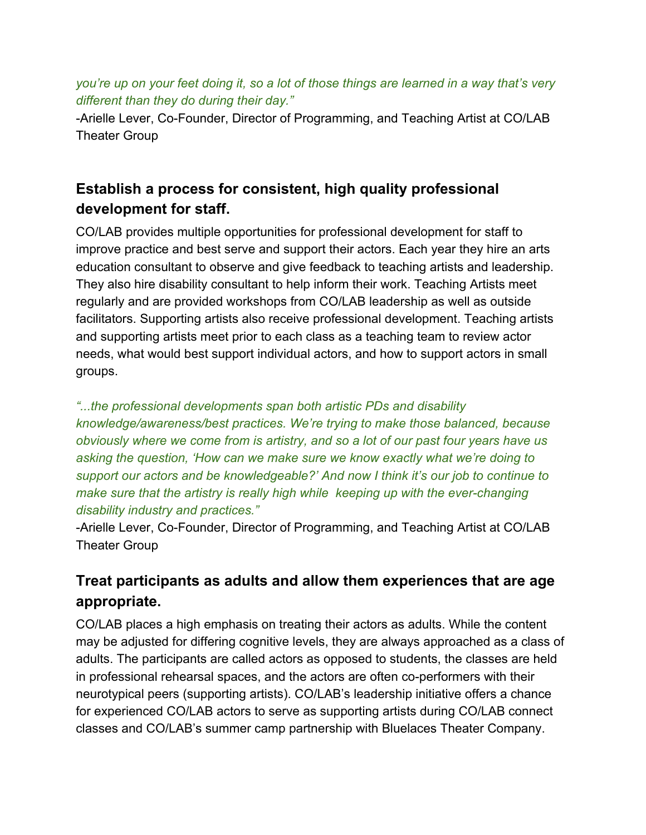#### *you're up on your feet doing it, so a lot of those things are learned in a way that's very different than they do during their day."*

-Arielle Lever, Co-Founder, Director of Programming, and Teaching Artist at CO/LAB Theater Group

## **Establish a process for consistent, high quality professional development for staff.**

CO/LAB provides multiple opportunities for professional development for staff to improve practice and best serve and support their actors. Each year they hire an arts education consultant to observe and give feedback to teaching artists and leadership. They also hire disability consultant to help inform their work. Teaching Artists meet regularly and are provided workshops from CO/LAB leadership as well as outside facilitators. Supporting artists also receive professional development. Teaching artists and supporting artists meet prior to each class as a teaching team to review actor needs, what would best support individual actors, and how to support actors in small groups.

#### *"...the professional developments span both artistic PDs and disability*

*knowledge/awareness/best practices. We're trying to make those balanced, because obviously where we come from is artistry, and so a lot of our past four years have us asking the question, 'How can we make sure we know exactly what we're doing to support our actors and be knowledgeable?' And now I think it's our job to continue to make sure that the artistry is really high while keeping up with the ever-changing disability industry and practices."*

-Arielle Lever, Co-Founder, Director of Programming, and Teaching Artist at CO/LAB Theater Group

### **Treat participants as adults and allow them experiences that are age appropriate.**

CO/LAB places a high emphasis on treating their actors as adults. While the content may be adjusted for differing cognitive levels, they are always approached as a class of adults. The participants are called actors as opposed to students, the classes are held in professional rehearsal spaces, and the actors are often co-performers with their neurotypical peers (supporting artists). CO/LAB's leadership initiative offers a chance for experienced CO/LAB actors to serve as supporting artists during CO/LAB connect classes and CO/LAB's summer camp partnership with Bluelaces Theater Company.